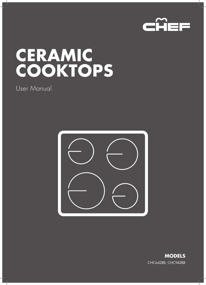

# **CERAMIC COOKTOPS**

# User Manual



**MODELS** CHC642BB, CHC942BB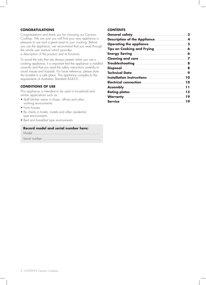### **CONGRATULATIONS**

Congratulations and thank you for choosing our Ceramic Cooktop. We are sure you will find your new appliance a pleasure to use and a great asset to your cooking. Before you use the appliance, we recommend that you read through the whole user manual which provides a description of the product and its functions.

To avoid the risks that are always present when you use a cooking appliance, it is important that the appliance is installed correctly and that you read the safety instructions carefully to avoid misuse and hazards. For future reference, please store this booklet in a safe place. This appliance complies to the requirements of Australian Standard AS4551.

### **CONDITIONS OF USE**

This appliance is intended to be used in household and similar applications such as:

- Staff kitchen areas in shops, offices and other working environments
- Farm houses
- By clients in hotels, motels and other residential type environments
- Bed and breakfast type environments

#### **Record model and serial number here:**

#### **CONTENTS**

| <b>Rating plates manufactures and 15</b> |  |
|------------------------------------------|--|
|                                          |  |
|                                          |  |
|                                          |  |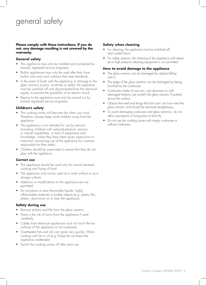# general safety

#### **Please comply with these instructions. If you do not, any damage resulting is not covered by the warranty.**

### **General safety**

- This appliance may only be installed and connected by trained, registered service engineers.
- Built-in appliances may only be used after they have built-in units and work surfaces that meet standards.
- In the event of faults with the appliance or damage to the glass ceramic (cracks, scratches or splits), the appliance must be switched off and disconnected from the electrical supply, to prevent the possibility of an electric shock.
- Repairs to the appliance must only be carried out by trained registered service engineers.

### **Children's safety**

- The cooking zones will become hot when you cook. Therefore, always keep small children away from the appliance.
- The appliance is not intended for use by persons (including children) with reduced physical, sensory or menatl capabilities, or lack of experience and knowledge, unless they have been given supervision or instruction concerning use of the appliance by a person responsible for thier safety.
- Children should be supervised to ensure that they do not play with the appliance.

### **Correct use**

- This appliance should be used only for normal domestic cooking and frying of food.
- The appliance must not be used as a work surface or as a storage surface.
- Additions or modifications to the appliance are not permitted.
- Do not place or store flammable liquids, highly inflammable materials or fusible objects (e.g. plastic film, plastic, aluminium) on or near the appliance.

### **Safety during use**

- Remove stickers and film from the glass ceramic.
- There is the risk of burns from the appliance if used carelessly.
- Cables from electrical applainces must not touch the hot surfaces of the appliance or hot cookware.
- Overheated fats and oils can ignite very quickly. When cooking with fat or oil (e.g Chips) do not leave the appliance unattended.
- Switch the cooking zones off after each use.

### **Safety when cleaning**

- For cleaning, the appliance must be switched off and cooled down.
- For safety reasons, the cleaning of the appliance with steam jet or high pressure cleaning equipment is not permitted.

#### **How to avoid damage to the appliance**

- The glass ceramic can be damaged by objects falling onto it.
- The edge of the glass ceramic can be damaged by being knocked by the cookware.
- Cookware made of cast iron, cast aluminum or with damaged bottoms can scratch the glass ceramic if pushed across the surface.
- Objects that melt and things that boil over can burn onto the glass ceramic and should be removed straightaway.
- To avoid damaging cookware and glass ceramics, do not allow saucepans or frying pans to boil dry.
- Do not use the cooking zones with empty cookware or without cookware.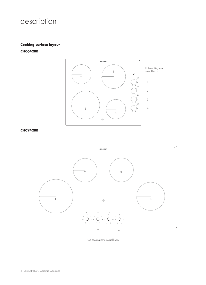# description

# **Cooking surface layout CHC642BB**



### **CHC942BB**



Hob cooking zone control knobs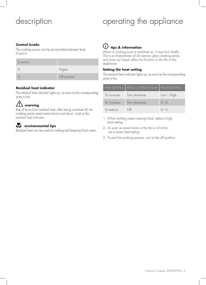# description

# operating the appliance

### **Control knobs**

The cooking power can be set anywhere between level 0 and 6

| O and 6 |              |
|---------|--------------|
|         | Higest       |
|         | Off position |

### **Residual heat indicator**

The residual heat indicator lights up, as soon as the corresponding zone is hot.

# $\hat{M}$  warning

Risk of burns from residual heat. After being switched off, the cooking zones need some time to cool down. Look at the residual heat indicator.

# *EN* environmental tips

Residual heat can be used for melting and keeping food warm.

# $(i)$  tips & information

When a cooking zone is switched on, it may hum briefly. This is a characteristic of all ceramic glass cooking zones and does not impair either the function or the life of the appliance.

### **Setting the heat setting**

The residual heat indicator lights up, as soon as the corresponding zone is hot.

| <b>HEAT SETTING I</b> | RING CONTROL KNOB   KNOB SETTING |              |
|-----------------------|----------------------------------|--------------|
| To increase           | Turn clockwise                   | $Low - High$ |
| To increase           | Turn clockwise                   | $0 - 6$      |
| To reduce             | `}H                              | $6 - 0$      |

- 1. When boiling water/searing food, select a high heat setting.
- 2. As soon as steam forms or the fat or oil is hot, set a lower heat setting.
- 3. To end the cooking process, turn to the off position.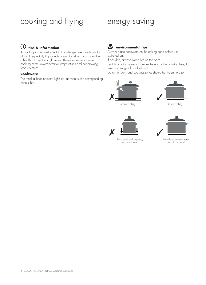# cooking and frying energy saving

#### $\mathsf{(i)}$ **tips & information**

According to the latest scientific knowledge, intensive browning of food, especially in products containing starch, can constitue a health risk due to acrylamides. Therefore we recommend cooking at the lowest possible temperatures and not browing foods to much.

## **Cookware**

The residual heat indicator lights up, as soon as the corresponding zone is hot.

# **ENVIRONMENTAL TENS**

Always place cookware on the coking zone before it is switched on.

If possible, always place lids on the pans.

Switch cooking zones off before the end of the cooking time, to take advantage of residual heat.

Bottom of pans and cooking zones should be the same size.



Incorrect setting. Correct setting.



For a small cooking zone, use a small utensil.



For a large cooking zone, use a large utensil.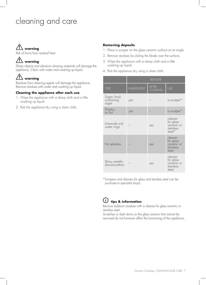# cleaning and care

# warning

Risk of burns from residual heat.

# $\angle$ !\ warning

Sharp objects and abrasive cleaning materials will damage the appliance. Clean with water and washing up liquid.

# warning

Residues from cleaning agents will damage the appliance. Remove residues with water and washing up liquid.

## **Cleaning the appliance after each use**

- 1. Wipe the appliance with a damp cloth and a little washing up liquid.
- 2. Rub the appliance dry using a clean cloth.

## **Removing deposits**

- 1. Place a scraper on the glass ceramic surface at an angle.
- 2. Remove residues by sliding the blade over the surface.
- 3. Wipe the appliance with a damp cloth and a little washing up liquid.
- 4. Rub the appliance dry using a clean cloth.

|                                    | <b>REMOVE</b>      |                         |                                                           |
|------------------------------------|--------------------|-------------------------|-----------------------------------------------------------|
| <b>TYPE</b>                        | <b>IMMEDIATELY</b> | <b>AFTER</b><br>COOLING | <b>USE</b>                                                |
| Sugar, food<br>containing<br>sugar | yes                |                         | a scraper*                                                |
| Plastics,<br>tin foil              | yes                |                         | a scraper*                                                |
| Limescale snd<br>water rings       |                    | yes                     | cleaner<br>for glass<br>ceramic or<br>stainless<br>steel* |
| Fat splashes                       |                    | yes                     | cleaner<br>for glass<br>ceramic or<br>stainless<br>steel  |
| Shiny metallic<br>discolourattion  |                    | yes                     | cleaner<br>for glass<br>ceramic or<br>stainless<br>steel  |

\*Scrapers and cleaners for glass and stainless steel can be purchase in specialist shops.



# $\overline{U}$  tips & information

Remove stubborn residues with a cleaner for glass ceramic or stainless steel.

Scratches or dark stains on the glass ceramic that cannot be removed do not however affect the functioning of the appliance.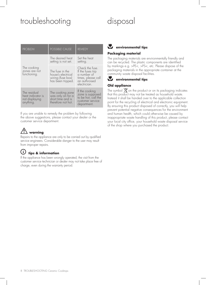# troubleshooting disposal

| <b>PROBLEM</b>                                                   | POSSIBLE CAUSE                                                                   | <b>REMEDY</b>                                                                                             |
|------------------------------------------------------------------|----------------------------------------------------------------------------------|-----------------------------------------------------------------------------------------------------------|
|                                                                  | The desired heat<br>setting is not set.                                          | Set the heat<br>setting.                                                                                  |
| The cooking<br>zones are not<br>functioning.                     | The fuse in the<br>house's electrical<br>wiring (fuse box)<br>has been tripped.  | Check the fuse.<br>If the fuses trip<br>a number of<br>times, please call<br>an authroised<br>electrician |
| The residual<br>heat indicator is<br>not displaying<br>anything. | The cooking zone<br>was only on for a<br>short time and is<br>therefore not hot. | If the cooking<br>zone is supposed<br>to be hot, call the<br>customer service<br>department.              |

If you are unable to remedy the problem by following the above suggestions, please contact your dealer or the customer service department.

# $\overline{\mathcal{L}^!\!\Delta}$  warning

Repairs to the appliance are only to be carried out by qualified service engineers. Considerable danger to the user may result from improper repairs.

#### $(i)$ **tips & information**

If the appliance has been wrongly operated, the visit from the customer service technician or dealer may not take place free of charge, even during the warranty period.

# **ENVIRONMENTAL TIPS**

# **Packaging material**

The packaging materials are environmentally friendly and can be recycled. The plastic components are identified by markings e.g. >PE<, >PS<, etc. Please dispose of the packaging materials in the appropriate container at the community waste disposal facilities.

# **ENVIRONMENTAL TIPS**

# **Old appliance**

The symbol  $\chi$  on the product or on its packaging indicates that this product may not be treated as household waste. Instead it shall be handed over to the applicable collection point for the recycling of electrical and electronic equipment. By ensuring this product disposed of correctly, you will help prevent potential negative consequences for the environment and human health, which could otherwise be caused by inappropriate waste handling of this product, please contact your local city office, your household waste disposal service of the shop where you purchased the product.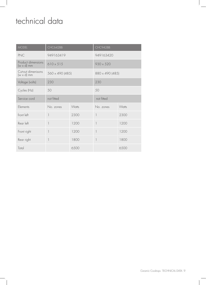# technical data

| <b>MODEL</b>                            | CHC642BB                 |       | CHC942BB                 |       |  |
|-----------------------------------------|--------------------------|-------|--------------------------|-------|--|
| <b>PNC</b>                              | 949163419                |       | 949163420                |       |  |
| Product dimensions<br>$(w \times d)$ mm | $610 \times 515$         |       | $930 \times 520$         |       |  |
| Cut-out dimenisons<br>$(w \times d)$ mm | 560 x 490 (485)          |       | 880 x 490 (485)          |       |  |
| Voltage (volts)                         | 230                      |       | 230                      |       |  |
| Cycles (Hz)                             | 50                       |       | 50                       |       |  |
| Service cord                            | not fitted               |       | not fitted               |       |  |
| Flements                                | No. zones                | Watts | No. zones                | Watts |  |
| front left                              | 1                        | 2300  | 1                        | 2300  |  |
| Rear left                               | $\overline{\phantom{a}}$ | 1200  | $\overline{\phantom{a}}$ | 1200  |  |
| Front right                             |                          | 1200  | 1                        | 1200  |  |
| Rear right                              | 1                        | 1800  | $\overline{\phantom{a}}$ | 1800  |  |
| Total                                   |                          | 6500  |                          | 6500  |  |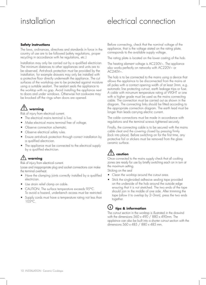# installation electrical connection

### **Safety instructions**

The laws, ordinances, directives and standards in force in the country of use are to be followed (safety regulations, proper recycling in accordance with he regulations, etc.)

Installation may only be carried out by a qualified electrician. The minimum distances to other appliances and units are to be observed. Anti-shock protection must be provided by the installation, for example drawers may only be installed with a protective floor directly underneath the appliance. The cut surfaces of the workshop are to be protected against moisture using a suitable sealant. The sealant seals the appliance to the worktop with no gap. Avoid installing the appliance next to doors and under windows. Otherwise hot cookware may be knocked off the rings when doors are opened.

# warning

Risk of injury from electrical current.

- The electrical mains terminal is live.
- Make electrical mains terminal free of voltage.
- Observe connection schematic.
- Observe electrical safety rules.
- Ensure anti-shock protection through correct installation by a qualified electrician.
- The appliance must be connected to the electrical supply by a qualified electrician.

# $\sqrt{N}$  warning

Risk of injury from electrical current.

Loose and inappropriate plug and socket connections can make the terminal overheat.

- Have the clamping joints correctly installed by a qualified electrician.
- Use strain relief clamp on cable.
- CAUTION: The surface temperature exceeds 95°C. To avoid a hazard, underbench access must be restricted.
- Supply cords must have a temperature rating not less than 105°C.

Before connecting, check that the nominal voltage of the appliance, that is the voltage stated on the rating plate, corresponds to the available supply voltage.

The rating plate is located on the lower casting of the hob.

The heating element voltage is AC230V~. The appliance also works perfectly on networks with AC220V~ or AC240V~.

The hob is to be connected to the mains using a device that allows the applaince to be disconnected from the mains at all poles with a contact opening width of at least 3mm, e.g. automatic line protecting cut-out, earth leakage trips or fuse. A cable with minumum temperature rating of V90HT or one with a higher grade must be used as the mains connecting cable. The connection must be carried out as shown in the diagram. The connecting links should be fitted according to the appropriate connection diagram. The earth lead must be longer than leads carrying electric current.

The cable connections must be made in accordance with regulations and the terminal screws tightened securely.

Finally, the connecting cable is to be secured with the mains cable cleat and the covering closed by pressing firmly (lock into place). Before switching on for the first time, any protective foil or stickers must be removed from the glass ceramic surface.

# **caution**

Once connected to the mains supply check that all cooking zones are ready for use by briefly switching each on in turn at the maximum setting.

Sticking on the seal

- Clean the worktop around the cutout area.
- Stick the single-sided adhesive sealing tape provided on the underside of the hob around the outside edge ensuring that it is not stretched. The two ends of the tape should join in the middle of one side. After trimming the tape (allow it to overlap by 2–3mm), press the two ends together.

# $\dot{\textbf{U}}$  tips & information

The cut-out section in the worktop is illustrated in the drawind with the dimensions  $560 \times 490 / 880 \times 490$  mm. The applaince can also be built into a shorter cut-out section with the dimensions 560 x 485 / 880 x 485 mm.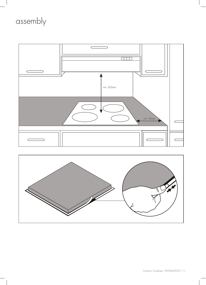# assembly

 $\begin{array}{c} \hline \end{array}$ 



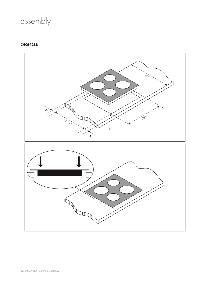

# **CHC642BB**

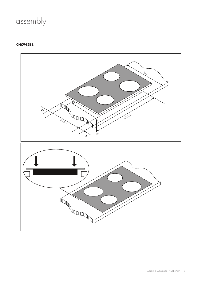# assembly

# **CHC942BB**

 $\begin{array}{c} \hline \end{array}$ 

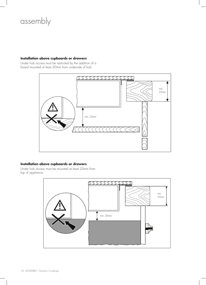# assembly

### **Installation above cupboards or drawers**

Under hob access must be restricted by the addition of a board mounted at least 20mm from underside of hob.



### **Installation above cupboards or drawers**

Under hob access must be mounted at least 20mm from top of appliance.

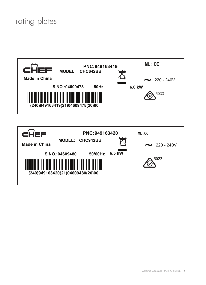# rating plates



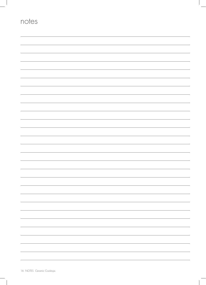| notes |  |
|-------|--|
|       |  |
|       |  |
|       |  |
|       |  |
|       |  |
|       |  |
|       |  |
|       |  |
|       |  |
|       |  |
|       |  |
|       |  |
|       |  |
|       |  |
|       |  |
|       |  |
|       |  |
|       |  |
|       |  |
|       |  |

 $\begin{array}{c} \hline \end{array}$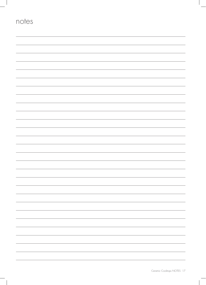| notes |  |
|-------|--|
|       |  |
|       |  |
|       |  |
|       |  |
|       |  |
|       |  |
|       |  |
|       |  |
|       |  |
|       |  |
|       |  |
|       |  |
|       |  |
|       |  |
|       |  |
|       |  |
|       |  |
|       |  |
|       |  |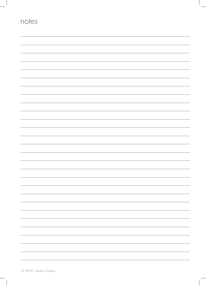| notes |  |
|-------|--|
|       |  |
|       |  |
|       |  |
|       |  |
|       |  |
|       |  |
|       |  |
|       |  |
|       |  |
|       |  |
|       |  |
|       |  |
|       |  |
|       |  |
|       |  |
|       |  |
|       |  |
|       |  |
|       |  |
|       |  |
|       |  |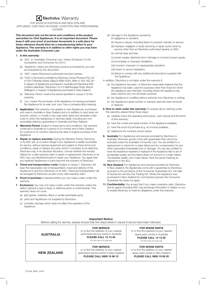# **Electrolux Warranty**

FOR SALES IN AUSTRALIA AND NEW ZEALAND APPLIANCE: CHEF BUILT-IN OVENS, COOKTOPS AND FREESTANDING COOKER

**This document sets out the terms and conditions of the product warranties for Chef Appliances. It is an important document. Please keep it with your proof of purchase documents in a safe place for future reference should there be a manufacturing defect in your Appliance. This warranty is in addition to other rights you may have under the Australian Consumer Law.**

#### **1. In this warranty:**

- (a) 'ACL' or 'Australian Consumer Law' means Schedule 2 to the Competition and Consumer Act 2010;
- (b) 'Appliance' means any Electrolux product purchased by you and accompanied by this document;
- (c) 'ASC' means Electrolux's authorised serviced centres;
- (d) 'Chef' is the brand controlled by Electrolux Home Products Pty Ltd of 163 O'Riordan Street, Mascot NSW 2020, ABN 51 004 762 341 in respect of Appliances purchased in Australia and Electrolux (NZ) Limited (collectively "Electrolux") of 3-5 Niall Burgess Road, Mount Wellington, in respect of Appliances purchased in New Zealand;
- (e) 'Warranty Period' means the period specified in clause 3 of this warranty;
- 'you' means the purchaser of the Appliance not having purchased the Appliance for re-sale, and 'your' has a corresponding meaning.
- **2. Application:** This warranty only applies to new Appliances, purchased and used in Australia or New Zealand and is in addition to (and does not exclude, restrict, or modify in any way) other rights and remedies under a law to which the Appliances or services relate, including any nonexcludable statutory guarantees in Australia and New Zealand.
- **3. Warranty Period:** Subject to these terms and conditions, this warranty continues in Australia for a period of 24 months and in New Zealand for a period of 24 months, following the date of original purchase of the Appliance.
- **4. Repair or replace warranty:** During the Warranty Period, Electrolux or its ASC will, at no extra charge if your Appliance is readily accessible for service, without special equipment and subject to these terms and conditions, repair or replace any parts which it considers to be defective. Electrolux may, in its absolute discretion, choose whether the remedy offered for a valid warranty claim is repair or replacement. Electrolux or its ASC may use refurbished parts to repair your Appliance. You agree that any replaced Appliances or parts become the property of Electrolux.
- **5. Travel and transportation costs:** Subject to clause 7, Electrolux will bear the reasonable cost of transportation, travel and delivery of the Appliance to and from Electrolux or its ASC. Travel and transportation will be arranged by Electrolux as part of any valid warranty claim.
- **6. Proof of purchas**e is required before you can make a claim under this warranty.
- **7. Exclusions:** You may not make a claim under this warranty unless the defect claimed is due to faulty or defective parts or workmanship. This warranty does not cover:
	- (a) light globes, batteries, filters or similar perishable parts;
	- (b) parts and Appliances not supplied by Electrolux;
	- (c) cosmetic damage which does not affect the operation of the Appliance;
- (d) damage to the Appliance caused by:
	- (i) negligence or accident;

 (ii) misuse or abuse, including failure to properly maintain or service; (iii) improper, negligent or faulty servicing or repair works done by anyone other than an Electrolux authorised repairer or ASC;

(iv) normal wear and tear;

(v) power surges, electrical storm damage or incorrect power supply;

(vi) incomplete or improper installation;

- (vii) incorrect, improper or inappropriate operation;
- (viii) insect or vermin infestation;
- (ix) failure to comply with any additional instructions supplied with the Appliance;

In addition, Electrolux is not liable under this warranty if:

- (a) the Appliance has been, or Electrolux reasonably believes that the Appliance has been, used for purposes other than those for which the Appliance was intended, including where the Appliance has been used for any non-domestic purpose;
- (b) the Appliance is modified without authority from Electrolux in writing;
- (c) the Appliance's serial number or warranty seal has been removed or defaced
- **8. How to claim under this warranty:** To enquire about claiming under this warranty, please follow these steps:
	- (a) carefully check the operating instructions, user manual and the terms of this warranty;
	- (b) have the model and serial number of the Appliance available;
	- (c) have the proof of purchase (e.g. an invoice) available;
	- (d) telephone the numbers shown below.
- **9. Australia:** For Appliances and services provided by Electrolux in Australia: Electrolux goods come with guarantees that cannot be excluded under the Australian Consumer Law. You are entitled to a replacement or refund for a major failure and for compensation for any other reasonably foreseeable loss or damage. You are also entitled to have the Appliance repaired or replaced if the Appliance fails to be of acceptable quality and the failure does not amount to a major failure. 'Acceptable quality' and 'major failure' have the same meaning as referred to in the ACL.
- **10. New Zealand:** For Appliances and services provided by Electrolux in New Zealand, the Appliances come with a guarantee by Electrolux pursuant to the provisions of the Consumer Guarantees Act, the Sale of Goods Act and the Fair Trading Act. Where the Appliance was purchased in New Zealand for commercial purposes the Consumer Guarantee Act does not apply.
- **11. Confidentiality:** You accept that if you make a warranty claim, Electrolux and its agents including ASC may exchange information in relation to you to enable Electrolux to meet its obligations under this warranty.

|                    | Before calling for service, please ensure that the steps listed in clause 8 above have been followed.                                                          |                                                                                                                                                                    |
|--------------------|----------------------------------------------------------------------------------------------------------------------------------------------------------------|--------------------------------------------------------------------------------------------------------------------------------------------------------------------|
| <b>AUSTRALIA</b>   | <b>FOR SERVICE</b><br>or to find the address of your nearest<br>authorised service centre in Australia<br>PLEASE CALL 13 13 49<br>For the cost of a local call | <b>FOR SPARE PARTS</b><br>or to find the address of your nearest<br>spare parts centre in Australia<br><b>PLEASE CALL 13 13 50</b><br>For the cost of a local call |
| <b>NEW ZEALAND</b> | <b>FOR SERVICE</b><br>or to find the address of your nearest<br>authorised service centre in New Zealand<br>PLEASE CALL 0800 10 66 10                          | <b>FOR SPARE PARTS</b><br>or to find the address of your nearest<br>spare parts centre in New Zealand<br>PLEASE CALL 0800 10 66 20                                 |

#### **Important Notice**